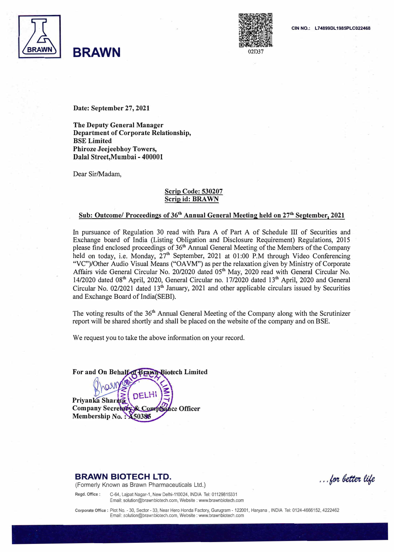

**Date: September 27, 2021** 

**The Deputy General Manager Department of Corporate Relationship, BSE Limited Phiroze Jeejeebhoy Towers, Dalal Street,Mumbai - 400001** 

Dear Sir/Madam,

### **Scrip Code: 530207 Scrip id: BRAWN**

## **Sub: Outcome/ Proceedings of 36th Annual General Meeting held on 27th September, 2021**

In pursuance of Regulation 30 read with Para A of Part A of Schedule ill of Securities and Exchange board of India (Listing Obligation and Disclosure Requirement) Regulations, 2015 please find enclosed proceedings of 36<sup>th</sup> Annual General Meeting of the Members of the Company held on today, i.e. Monday,  $27<sup>th</sup>$  September, 2021 at 01:00 P.M through Video Conferencing "VC")/Other Audio Visual Means ("OAVM") as per the relaxation given by Ministry of Corporate Affairs vide General Circular No. 20/2020 dated 05<sup>th</sup> May, 2020 read with General Circular No. 14/2020 dated 08<sup>th</sup> April, 2020, General Circular no. 17/2020 dated 13<sup>th</sup> April, 2020 and General Circular No. 02/2021 dated 13<sup>th</sup> January, 2021 and other applicable circulars issued by Securities and Exchange Board of India(SEBI).

The voting results of the 36<sup>th</sup> Annual General Meeting of the Company along with the Scrutinizer report will be shared shortly and shall be placed on the website of the company and on BSE.

We request you to take the above information on your record.

| For and On Behalf                     |       | <b>N</b> Biotech Limited |  |  |
|---------------------------------------|-------|--------------------------|--|--|
|                                       |       |                          |  |  |
|                                       | DELHI |                          |  |  |
| Priyanka Sharma                       |       |                          |  |  |
| Company Secretary & Comphance Officer |       |                          |  |  |
| Membership No.: 450385                |       |                          |  |  |

# **BRAWN BIOTECH LTD.**

(Formerly Known as Brawn Pharmaceuticals Ltd.)

... for better life

**Regd. Office:** C-64, Lajpat Nagar-1 , New Delhi-110024, INDIA Tel: 01129815331

Email: solution@brawnbiotech.com, Website : www.brawnbiotech.com

Corporate Office: Plot No. - 30, Sector - 33, Near Hero Honda Factory, Gurugram - 122001, Haryana, INDIA Tel: 0124-4666152, 4222462 Email: solution@brawnbiotech.com, Website: www.brawnbiotech.com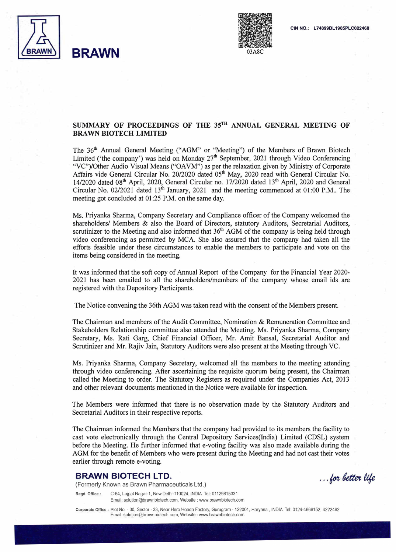

# **BRAWN** 03A8C



### **SUMMARY OF PROCEEDINGS OF THE 35™ ANNUAL GENERAL MEETING OF BRAWN BIOTECH LIMITED**

The 36**th** Annual General Meeting ("AGM" or "Meeting") of the Members of Brawn Biotech Limited ('the company') was held on Monday  $27<sup>th</sup>$  September, 2021 through Video Conferencing · "VC")/Other Audio Visual Means ("OA VM") as per the relaxation given by Ministry of Corporate Affairs vide General Circular No. 20/2020 dated 05**th** May, 2020 read with General Circular No. 14/2020 dated 08**th** April, 2020, General Circular no. 17 /2020 dated 13**th** April, 2020 and General Circular No. 02/2021 dated  $13<sup>th</sup>$  January, 2021 and the meeting commenced at 01:00 P.M.. The meeting got concluded at 01:25 P.M. on the same day.

Ms. Priyanka Sharma, Company Secretary and Compliance officer of the Company welcomed the shareholders/ Members & also the Board of Directors, statutory Auditors, Secretarial Auditors, scrutinizer to the Meeting and also informed that 36<sup>th</sup> AGM of the company is being held through video conferencing as permitted by MCA. She also assured that the company had taken all the efforts feasible under these circumstances to enable the members to participate and vote on the items being considered in the meeting.

It was informed that the soft copy of Annual Report of the Company for the Financial Year 2020- 2021 has been emailed to all the shareholders/members of the company whose email ids are registered with the Depository Participants.

The Notice convening the 36th AGM was taken read with the consent of the Members present.

The Chairman and members of the Audit Committee, Nomination & Remuneration Committee and Stakeholders Relationship committee also attended the Meeting. Ms. Priyanka Sharma, Company Secretary, Ms. Rati Garg, Chief Financial Officer, Mr. Amit Bansal, Secretarial Auditor and Scrutinizer and Mr. Rajiv Jain, Statutory Auditors were also present at the Meeting through VC.

Ms. Priyanka Sharma, Company Secretary, welcomed all the members to the meeting attending through video conferencing. After ascertaining the requisite quorum being present, the Chairman called the Meeting to order. The Statutory Registers as required under the Companies Act, 2013 and other relevant documents mentioned in the Notice were available for inspection.

The Members were informed that there is no observation made by the Statutory Auditors and Secretarial Auditors in their respective reports.

The Chairman informed the Members that the company had provided to its members the facility to cast vote electronically through the Central Depository Services(India) Limited (CDSL) system before the Meeting. He further informed that e-voting facility was also made available during the AGM for the benefit of Members who were present during the Meeting and had not cast their votes earlier through remote e-voting.

### **BRAWN BIOTECH LTD.**

(Formerly Known as Brawn Pharmaceuticals Ltd.)

**Regd. Office:** C-64, Lajpal Nagar-1, New Delhi-110024, INDIA Tel: 01129815331 Email: solution@brawnbiotech.com, Website : www.brawnbiotech.com ... for better life

**Corporate Office:** Plot No. - 30, Sector - 33, Near Hero Honda Factory, Gurugram - 122001, Haryana , INDIA Tel: 0124-4666152, 4222462 Email: solution@brawnbiotech.com, Website : www.brawnbiotech.com